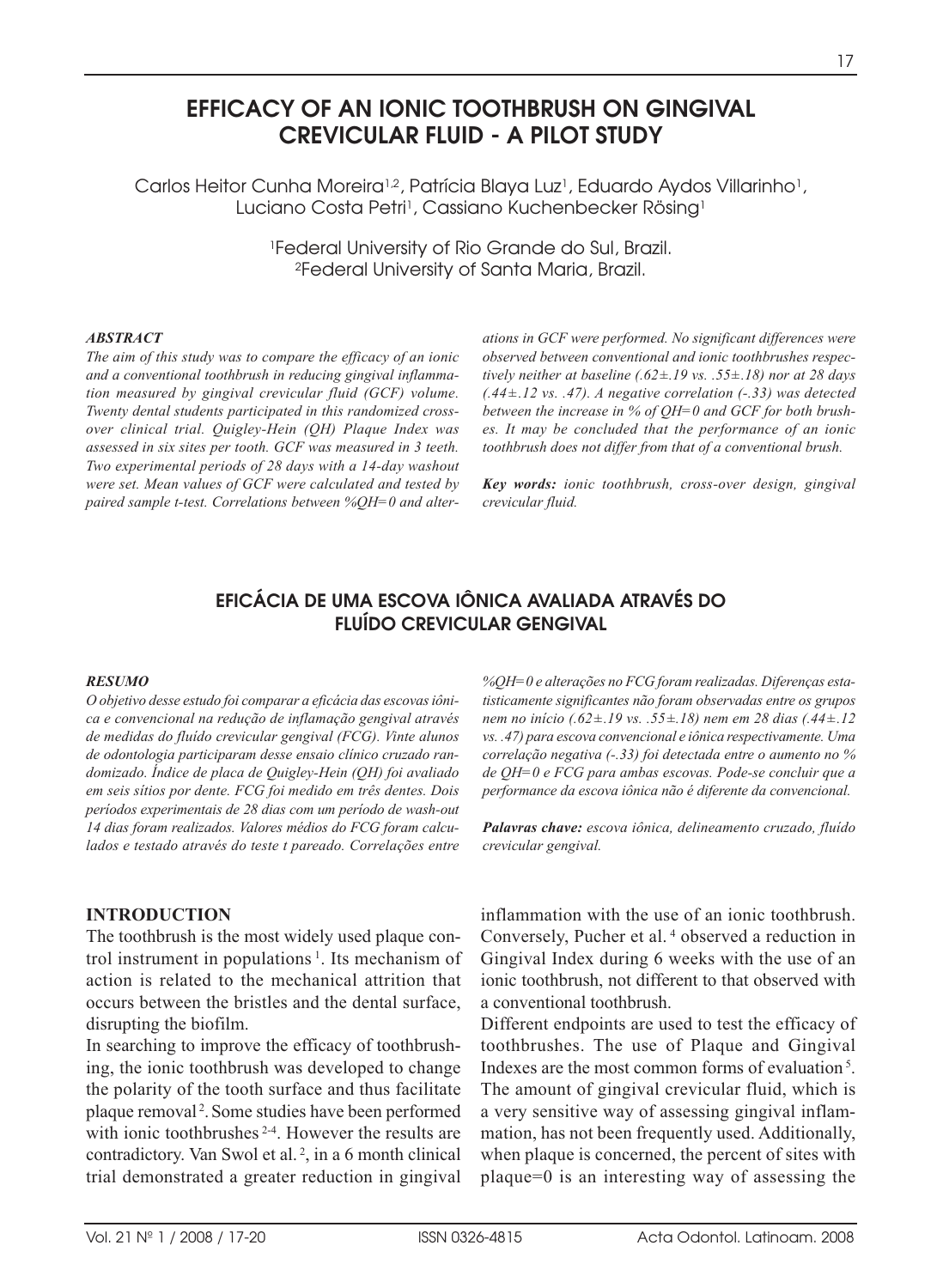# **EFFICACY OF AN IONIC TOOTHBRUSH ON GINGIVAL CREVICULAR FLUID - A PILOT STUDY**

Carlos Heitor Cunha Moreira<sup>1,2</sup>, Patrícia Blaya Luz<sup>1</sup>, Eduardo Aydos Villarinho<sup>1</sup>, Luciano Costa Petri<sup>1</sup>, Cassiano Kuchenbecker Rösing<sup>1</sup>

> 1Federal University of Rio Grande do Sul, Brazil. 2Federal University of Santa Maria, Brazil.

#### *ABSTRACT*

*The aim of this study was to compare the efficacy of an ionic and a conventional toothbrush in reducing gingival inflammation measured by gingival crevicular fluid (GCF) volume. Twenty dental students participated in this randomized crossover clinical trial. Quigley-Hein (QH) Plaque Index was assessed in six sites per tooth. GCF was measured in 3 teeth. Two experimental periods of 28 days with a 14-day washout were set. Mean values of GCF were calculated and tested by paired sample t-test. Correlations between %QH=0 and alter-* *ations in GCF were performed. No significant differences were observed between conventional and ionic toothbrushes respectively neither at baseline (.62±.19 vs. .55±.18) nor at 28 days (.44±.12 vs. .47). A negative correlation (-.33) was detected between the increase in % of QH=0 and GCF for both brushes. It may be concluded that the performance of an ionic toothbrush does not differ from that of a conventional brush.*

*Key words: ionic toothbrush, cross-over design, gingival crevicular fluid.*

# **EFICÁCIA DE UMA ESCOVA IÔNICA AVALIADA ATRAVÉS DO FLUÍDO CREVICULAR GENGIVAL**

#### *RESUMO*

*O objetivo desse estudo foi comparar a eficácia das escovas iônica e convencional na redução de inflamação gengival através de medidas do fluído crevicular gengival (FCG). Vinte alunos de odontologia participaram desse ensaio clínico cruzado randomizado. Índice de placa de Quigley-Hein (QH) foi avaliado em seis sítios por dente. FCG foi medido em três dentes. Dois períodos experimentais de 28 dias com um período de wash-out 14 dias foram realizados. Valores médios do FCG foram calculados e testado através do teste t pareado. Correlações entre*

#### **INTRODUCTION**

The toothbrush is the most widely used plaque control instrument in populations  $\frac{1}{1}$ . Its mechanism of action is related to the mechanical attrition that occurs between the bristles and the dental surface, disrupting the biofilm.

In searching to improve the efficacy of toothbrushing, the ionic toothbrush was developed to change the polarity of the tooth surface and thus facilitate plaque removal <sup>2</sup> . Some studies have been performed with ionic toothbrushes <sup>2-4</sup>. However the results are contradictory. Van Swol et al. <sup>2</sup> , in a 6 month clinical trial demonstrated a greater reduction in gingival *%QH=0 e alterações no FCG foram realizadas. Diferenças estatisticamente significantes não foram observadas entre os grupos nem no início (.62±.19 vs. .55±.18) nem em 28 dias (.44±.12 vs. .47) para escova convencional e iônica respectivamente. Uma correlação negativa (-.33) foi detectada entre o aumento no % de QH=0 e FCG para ambas escovas. Pode-se concluir que a performance da escova iônica não é diferente da convencional.*

*Palavras chave: escova iônica, delineamento cruzado, fluído crevicular gengival.*

inflammation with the use of an ionic toothbrush. Conversely, Pucher et al. <sup>4</sup> observed a reduction in Gingival Index during 6 weeks with the use of an ionic toothbrush, not different to that observed with a conventional toothbrush.

Different endpoints are used to test the efficacy of toothbrushes. The use of Plaque and Gingival Indexes are the most common forms of evaluation 5. The amount of gingival crevicular fluid, which is a very sensitive way of assessing gingival inflammation, has not been frequently used. Additionally, when plaque is concerned, the percent of sites with plaque=0 is an interesting way of assessing the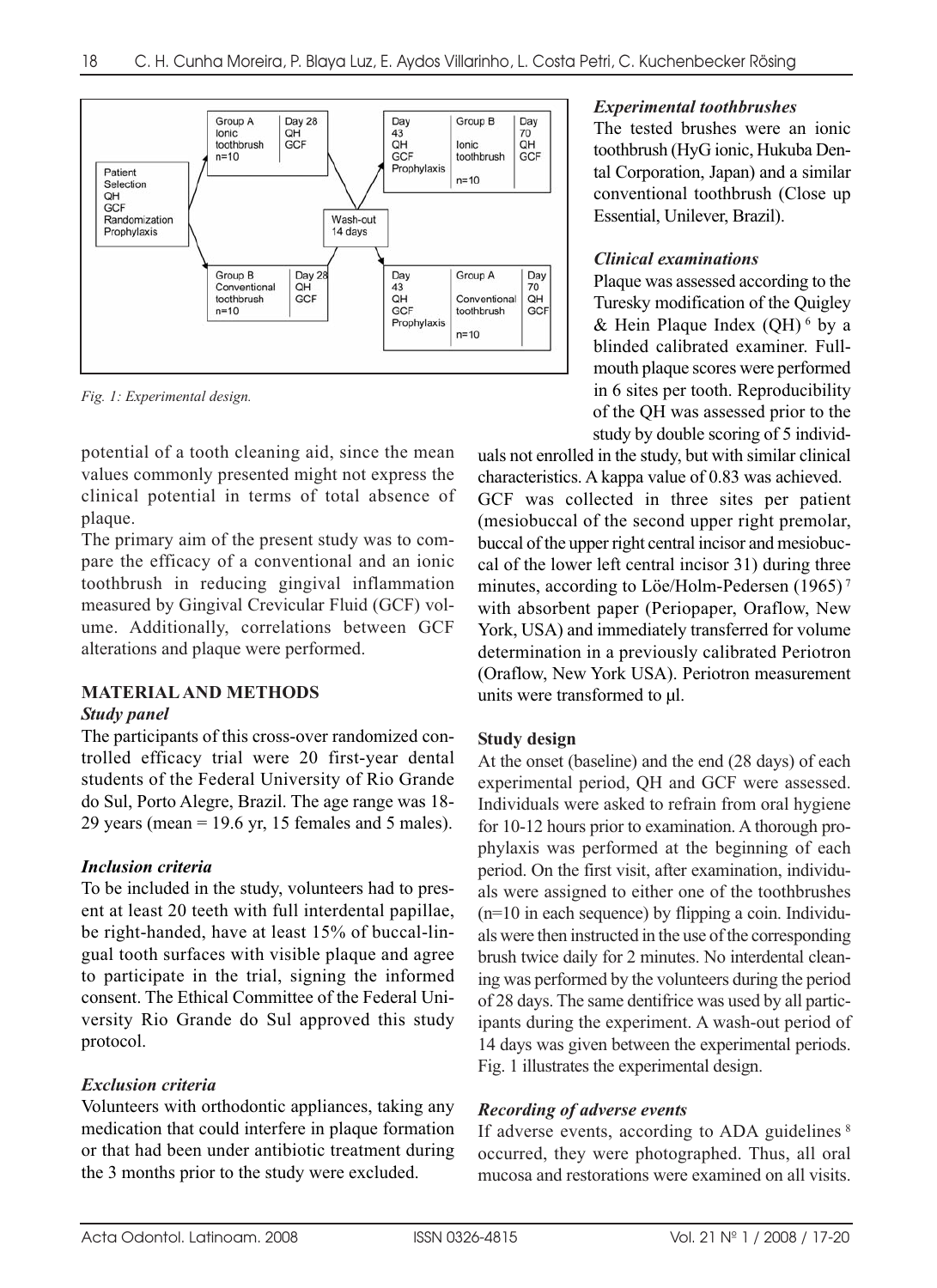

*Fig. 1: Experimental design.*

potential of a tooth cleaning aid, since the mean values commonly presented might not express the clinical potential in terms of total absence of plaque.

The primary aim of the present study was to compare the efficacy of a conventional and an ionic toothbrush in reducing gingival inflammation measured by Gingival Crevicular Fluid (GCF) volume. Additionally, correlations between GCF alterations and plaque were performed.

# **MATERIAL AND METHODS**

#### *Study panel*

The participants of this cross-over randomized controlled efficacy trial were 20 first-year dental students of the Federal University of Rio Grande do Sul, Porto Alegre, Brazil. The age range was 18- 29 years (mean  $= 19.6$  yr, 15 females and 5 males).

#### *Inclusion criteria*

To be included in the study, volunteers had to present at least 20 teeth with full interdental papillae, be right-handed, have at least 15% of buccal-lingual tooth surfaces with visible plaque and agree to participate in the trial, signing the informed consent. The Ethical Committee of the Federal University Rio Grande do Sul approved this study protocol.

# *Exclusion criteria*

Volunteers with orthodontic appliances, taking any medication that could interfere in plaque formation or that had been under antibiotic treatment during the 3 months prior to the study were excluded.

#### *Experimental toothbrushes*

The tested brushes were an ionic toothbrush (HyG ionic, Hukuba Dental Corporation, Japan) and a similar conventional toothbrush (Close up Essential, Unilever, Brazil).

### *Clinical examinations*

Plaque was assessed according to the Turesky modification of the Quigley & Hein Plaque Index  $(OH)$ <sup>6</sup> by a blinded calibrated examiner. Fullmouth plaque scores were performed in 6 sites per tooth. Reproducibility of the QH was assessed prior to the study by double scoring of 5 individ-

uals not enrolled in the study, but with similar clinical characteristics. A kappa value of 0.83 was achieved. GCF was collected in three sites per patient (mesiobuccal of the second upper right premolar, buccal of the upper right central incisor and mesiobuccal of the lower left central incisor 31) during three minutes, according to Löe/Holm-Pedersen (1965)<sup>7</sup> with absorbent paper (Periopaper, Oraflow, New York, USA) and immediately transferred for volume determination in a previously calibrated Periotron (Oraflow, New York USA). Periotron measurement units were transformed to  $\mu$ .

#### **Study design**

At the onset (baseline) and the end (28 days) of each experimental period, QH and GCF were assessed. Individuals were asked to refrain from oral hygiene for 10-12 hours prior to examination. A thorough prophylaxis was performed at the beginning of each period. On the first visit, after examination, individuals were assigned to either one of the toothbrushes  $(n=10$  in each sequence) by flipping a coin. Individuals were then instructed in the use of the corresponding brush twice daily for 2 minutes. No interdental cleaning was performed by the volunteers during the period of 28 days. The same dentifrice was used by all participants during the experiment. A wash-out period of 14 days was given between the experimental periods. Fig. 1 illustrates the experimental design.

# *Recording of adverse events*

If adverse events, according to ADA guidelines <sup>8</sup> occurred, they were photographed. Thus, all oral mucosa and restorations were examined on all visits.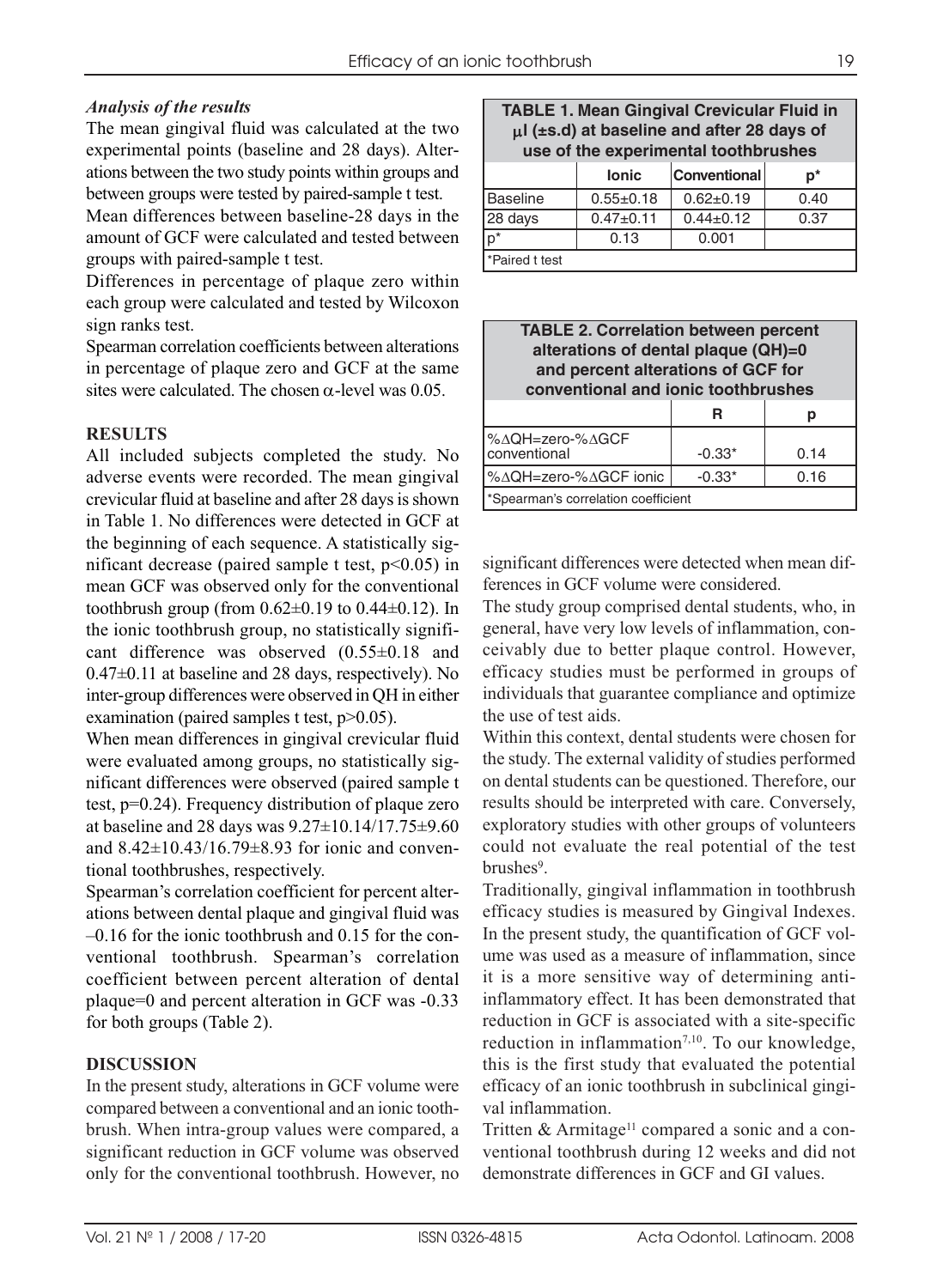## *Analysis of the results*

The mean gingival fluid was calculated at the two experimental points (baseline and 28 days). Alterations between the two study points within groups and between groups were tested by paired-sample t test.

Mean differences between baseline-28 days in the amount of GCF were calculated and tested between groups with paired-sample t test.

Differences in percentage of plaque zero within each group were calculated and tested by Wilcoxon sign ranks test.

Spearman correlation coefficients between alterations in percentage of plaque zero and GCF at the same sites were calculated. The chosen  $\alpha$ -level was 0.05.

## **RESULTS**

All included subjects completed the study. No adverse events were recorded. The mean gingival crevicular fluid at baseline and after 28 days is shown in Table 1. No differences were detected in GCF at the beginning of each sequence. A statistically significant decrease (paired sample t test,  $p<0.05$ ) in mean GCF was observed only for the conventional toothbrush group (from  $0.62\pm0.19$  to  $0.44\pm0.12$ ). In the ionic toothbrush group, no statistically significant difference was observed (0.55±0.18 and 0.47±0.11 at baseline and 28 days, respectively). No inter-group differences were observed in QH in either examination (paired samples t test,  $p > 0.05$ ).

When mean differences in gingival crevicular fluid were evaluated among groups, no statistically significant differences were observed (paired sample t test, p=0.24). Frequency distribution of plaque zero at baseline and 28 days was 9.27±10.14/17.75±9.60 and 8.42±10.43/16.79±8.93 for ionic and conventional toothbrushes, respectively.

Spearman's correlation coefficient for percent alterations between dental plaque and gingival fluid was –0.16 for the ionic toothbrush and 0.15 for the conventional toothbrush. Spearman's correlation coefficient between percent alteration of dental plaque=0 and percent alteration in GCF was -0.33 for both groups (Table 2).

#### **DISCUSSION**

In the present study, alterations in GCF volume were compared between a conventional and an ionic toothbrush. When intra-group values were compared, a significant reduction in GCF volume was observed only for the conventional toothbrush. However, no

|                                                 |  | <b>TABLE 1. Mean Gingival Crevicular Fluid in</b> |  |  |  |
|-------------------------------------------------|--|---------------------------------------------------|--|--|--|
| $\mu$ I (±s.d) at baseline and after 28 days of |  |                                                   |  |  |  |
| use of the experimental toothbrushes            |  |                                                   |  |  |  |
|                                                 |  |                                                   |  |  |  |

|                 | <b>lonic</b>    | <b>Conventional</b> | p*   |
|-----------------|-----------------|---------------------|------|
| Baseline        | $0.55 \pm 0.18$ | $0.62 \pm 0.19$     | 0.40 |
| 28 days         | $0.47 + 0.11$   | $0.44 \pm 0.12$     | 0.37 |
| lp*             | 0.13            | 0.001               |      |
| l*Paired t test |                 |                     |      |

| <b>TABLE 2. Correlation between percent</b><br>alterations of dental plaque (QH)=0<br>and percent alterations of GCF for<br>conventional and ionic toothbrushes |          |      |  |  |
|-----------------------------------------------------------------------------------------------------------------------------------------------------------------|----------|------|--|--|
|                                                                                                                                                                 | R        | р    |  |  |
| %∆QH=zero-%∆GCF<br>conventional                                                                                                                                 | $-0.33*$ | 0.14 |  |  |
| %∆QH=zero-%∆GCF ionic                                                                                                                                           | $-0.33*$ | 0.16 |  |  |
| *Spearman's correlation coefficient                                                                                                                             |          |      |  |  |

significant differences were detected when mean differences in GCF volume were considered.

The study group comprised dental students, who, in general, have very low levels of inflammation, conceivably due to better plaque control. However, efficacy studies must be performed in groups of individuals that guarantee compliance and optimize the use of test aids.

Within this context, dental students were chosen for the study. The external validity of studies performed on dental students can be questioned. Therefore, our results should be interpreted with care. Conversely, exploratory studies with other groups of volunteers could not evaluate the real potential of the test brushes<sup>9</sup>.

Traditionally, gingival inflammation in toothbrush efficacy studies is measured by Gingival Indexes. In the present study, the quantification of GCF volume was used as a measure of inflammation, since it is a more sensitive way of determining antiinflammatory effect. It has been demonstrated that reduction in GCF is associated with a site-specific reduction in inflammation $7,10$ . To our knowledge, this is the first study that evaluated the potential efficacy of an ionic toothbrush in subclinical gingival inflammation.

Tritten & Armitage<sup>11</sup> compared a sonic and a conventional toothbrush during 12 weeks and did not demonstrate differences in GCF and GI values.